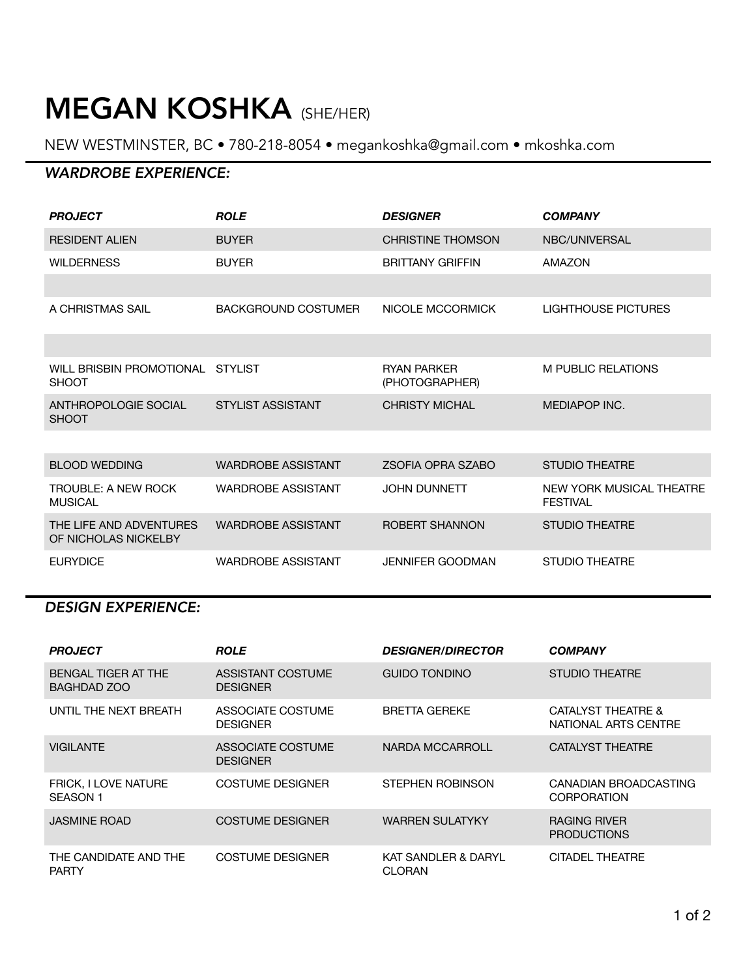# MEGAN KOSHKA (SHE/HER)

NEW WESTMINSTER, BC • 780-218-8054 • [megankoshka@gmail.com](mailto:megankoshka@gmail.com) • [mkoshka.com](http://koshka.com)

## *WARDROBE EXPERIENCE:*

| <b>PROJECT</b>                                  | <b>ROLE</b>                | <b>DESIGNER</b>                      | <b>COMPANY</b>                              |
|-------------------------------------------------|----------------------------|--------------------------------------|---------------------------------------------|
| <b>RESIDENT ALIEN</b>                           | <b>BUYER</b>               | <b>CHRISTINE THOMSON</b>             | NBC/UNIVERSAL                               |
| <b>WILDERNESS</b>                               | <b>BUYER</b>               | <b>BRITTANY GRIFFIN</b>              | AMAZON                                      |
|                                                 |                            |                                      |                                             |
| A CHRISTMAS SAIL                                | <b>BACKGROUND COSTUMER</b> | NICOLE MCCORMICK                     | <b>LIGHTHOUSE PICTURES</b>                  |
|                                                 |                            |                                      |                                             |
| WILL BRISBIN PROMOTIONAL<br><b>SHOOT</b>        | <b>STYLIST</b>             | <b>RYAN PARKER</b><br>(PHOTOGRAPHER) | M PUBLIC RELATIONS                          |
| ANTHROPOLOGIE SOCIAL<br><b>SHOOT</b>            | <b>STYLIST ASSISTANT</b>   | <b>CHRISTY MICHAL</b>                | <b>MEDIAPOP INC.</b>                        |
|                                                 |                            |                                      |                                             |
| <b>BLOOD WEDDING</b>                            | <b>WARDROBE ASSISTANT</b>  | <b>ZSOFIA OPRA SZABO</b>             | <b>STUDIO THEATRE</b>                       |
| <b>TROUBLE: A NEW ROCK</b><br><b>MUSICAL</b>    | <b>WARDROBE ASSISTANT</b>  | <b>JOHN DUNNETT</b>                  | NEW YORK MUSICAL THEATRE<br><b>FESTIVAL</b> |
| THE LIFE AND ADVENTURES<br>OF NICHOLAS NICKELBY | <b>WARDROBE ASSISTANT</b>  | ROBERT SHANNON                       | <b>STUDIO THEATRE</b>                       |
| <b>EURYDICE</b>                                 | <b>WARDROBE ASSISTANT</b>  | <b>JENNIFER GOODMAN</b>              | <b>STUDIO THEATRE</b>                       |

### *DESIGN EXPERIENCE:*

| <b>PROJECT</b>                          | <b>ROLE</b>                          | <b>DESIGNER/DIRECTOR</b>             | <b>COMPANY</b>                              |
|-----------------------------------------|--------------------------------------|--------------------------------------|---------------------------------------------|
| BENGAL TIGER AT THE<br>BAGHDAD ZOO      | ASSISTANT COSTUME<br><b>DESIGNER</b> | <b>GUIDO TONDINO</b>                 | STUDIO THEATRE                              |
| UNTIL THE NEXT BREATH                   | ASSOCIATE COSTUME<br><b>DESIGNER</b> | <b>BRETTA GEREKE</b>                 | CATALYST THEATRE &<br>NATIONAL ARTS CENTRE  |
| <b>VIGILANTE</b>                        | ASSOCIATE COSTUME<br><b>DESIGNER</b> | NARDA MCCARROLL                      | <b>CATALYST THEATRE</b>                     |
| <b>FRICK, I LOVE NATURE</b><br>SEASON 1 | <b>COSTUME DESIGNER</b>              | STEPHEN ROBINSON                     | CANADIAN BROADCASTING<br><b>CORPORATION</b> |
| <b>JASMINE ROAD</b>                     | <b>COSTUME DESIGNER</b>              | <b>WARREN SULATYKY</b>               | RAGING RIVER<br><b>PRODUCTIONS</b>          |
| THE CANDIDATE AND THE<br><b>PARTY</b>   | <b>COSTUME DESIGNER</b>              | KAT SANDLER & DARYL<br><b>CLORAN</b> | CITADEL THEATRE                             |